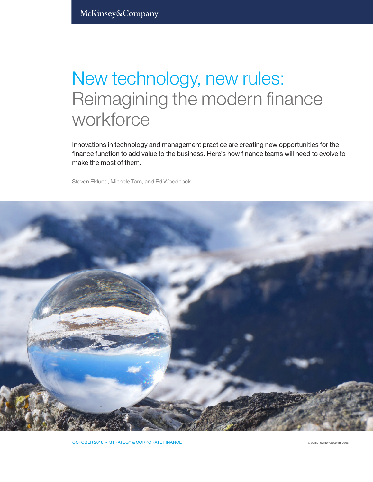# New technology, new rules: Reimagining the modern finance workforce

Innovations in technology and management practice are creating new opportunities for the finance function to add value to the business. Here's how finance teams will need to evolve to make the most of them.

Steven Eklund, Michele Tam, and Ed Woodcock



OCTOBER 2018 • STRATEGY & CORPORATE FINANCE **Example 2018** • STRATEGY & CORPORATE FINANCE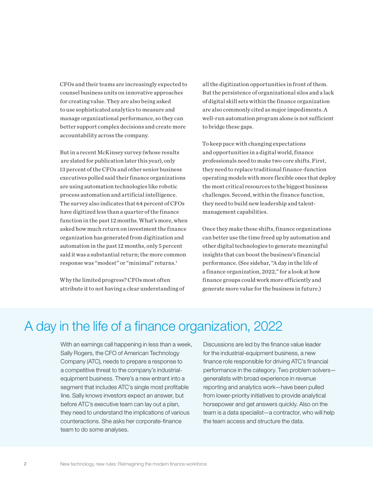CFOs and their teams are increasingly expected to counsel business units on innovative approaches for creating value. They are also being asked to use sophisticated analytics to measure and manage organizational performance, so they can better support complex decisions and create more accountability across the company.

But in a recent McKinsey survey (whose results are slated for publication later this year), only 13 percent of the CFOs and other senior business executives polled said their finance organizations are using automation technologies like robotic process automation and artificial intelligence. The survey also indicates that 64 percent of CFOs have digitized less than a quarter of the finance function in the past 12 months. What's more, when asked how much return on investment the finance organization has generated from digitization and automation in the past 12 months, only 5 percent said it was a substantial return; the more common response was "modest" or "minimal" returns.1

Why the limited progress? CFOs most often attribute it to not having a clear understanding of all the digitization opportunities in front of them. But the persistence of organizational silos and a lack of digital skill sets within the finance organization are also commonly cited as major impediments. A well-run automation program alone is not sufficient to bridge these gaps.

To keep pace with changing expectations and opportunities in a digital world, finance professionals need to make two core shifts. First, they need to replace traditional finance-function operating models with more flexible ones that deploy the most critical resources to the biggest business challenges. Second, within the finance function, they need to build new leadership and talentmanagement capabilities.

Once they make these shifts, finance organizations can better use the time freed up by automation and other digital technologies to generate meaningful insights that can boost the business's financial performance. (See sidebar, "A day in the life of a finance organization, 2022," for a look at how finance groups could work more efficiently and generate more value for the business in future.)

# A day in the life of a finance organization, 2022

With an earnings call happening in less than a week, Sally Rogers, the CFO of American Technology Company (ATC), needs to prepare a response to a competitive threat to the company's industrialequipment business. There's a new entrant into a segment that includes ATC's single most profitable line. Sally knows investors expect an answer, but before ATC's executive team can lay out a plan, they need to understand the implications of various counteractions. She asks her corporate-finance team to do some analyses.

Discussions are led by the finance value leader for the industrial-equipment business, a new finance role responsible for driving ATC's financial performance in the category. Two problem solvers generalists with broad experience in revenue reporting and analytics work—have been pulled from lower-priority initiatives to provide analytical horsepower and get answers quickly. Also on the team is a data specialist—a contractor, who will help the team access and structure the data.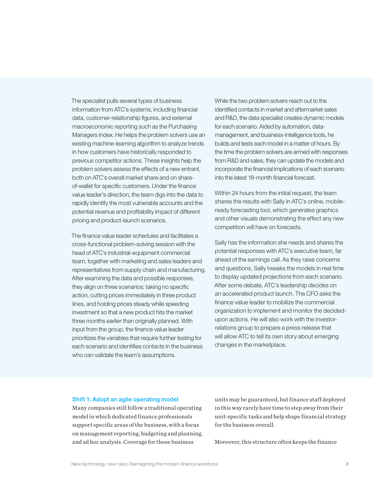The specialist pulls several types of business information from ATC's systems, including financial data, customer-relationship figures, and external macroeconomic reporting such as the Purchasing Managers Index. He helps the problem solvers use an existing machine-learning algorithm to analyze trends in how customers have historically responded to previous competitor actions. These insights help the problem solvers assess the effects of a new entrant, both on ATC's overall market share and on shareof-wallet for specific customers. Under the finance value leader's direction, the team digs into the data to rapidly identify the most vulnerable accounts and the potential revenue and profitability impact of different pricing and product-launch scenarios.

The finance value leader schedules and facilitates a cross-functional problem-solving session with the head of ATC's industrial-equipment commercial team, together with marketing and sales leaders and representatives from supply chain and manufacturing. After examining the data and possible responses, they align on three scenarios: taking no specific action, cutting prices immediately in three product lines, and holding prices steady while speeding investment so that a new product hits the market three months earlier than originally planned. With input from the group, the finance value leader prioritizes the variables that require further testing for each scenario and identifies contacts in the business who can validate the team's assumptions.

While the two problem solvers reach out to the identified contacts in market and aftermarket sales and R&D, the data specialist creates dynamic models for each scenario. Aided by automation, datamanagement, and business-intelligence tools, he builds and tests each model in a matter of hours. By the time the problem solvers are armed with responses from R&D and sales, they can update the models and incorporate the financial implications of each scenario into the latest 18-month financial forecast.

Within 24 hours from the initial request, the team shares the results with Sally in ATC's online, mobileready forecasting tool, which generates graphics and other visuals demonstrating the effect any new competition will have on forecasts.

Sally has the information she needs and shares the potential responses with ATC's executive team, far ahead of the earnings call. As they raise concerns and questions, Sally tweaks the models in real time to display updated projections from each scenario. After some debate, ATC's leadership decides on an accelerated product launch. The CFO asks the finance value leader to mobilize the commercial organization to implement and monitor the decidedupon actions. He will also work with the investorrelations group to prepare a press release that will allow ATC to tell its own story about emerging changes in the marketplace.

## Shift 1: Adopt an agile operating model

Many companies still follow a traditional operating model in which dedicated finance professionals support specific areas of the business, with a focus on management reporting, budgeting and planning, and ad hoc analysis. Coverage for those business

units may be guaranteed, but finance staff deployed in this way rarely have time to step away from their unit-specific tasks and help shape financial strategy for the business overall.

Moreover, this structure often keeps the finance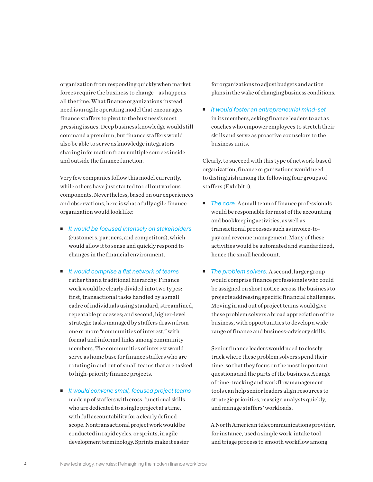organization from responding quickly when market forces require the business to change—as happens all the time. What finance organizations instead need is an agile operating model that encourages finance staffers to pivot to the business's most pressing issues. Deep business knowledge would still command a premium, but finance staffers would also be able to serve as knowledge integrators sharing information from multiple sources inside and outside the finance function.

Very few companies follow this model currently, while others have just started to roll out various components. Nevertheless, based on our experiences and observations, here is what a fully agile finance organization would look like:

- *It would be focused intensely on stakeholders* (customers, partners, and competitors), which would allow it to sense and quickly respond to changes in the financial environment.
- *It would comprise a flat network of teams* rather than a traditional hierarchy. Finance work would be clearly divided into two types: first, transactional tasks handled by a small cadre of individuals using standard, streamlined, repeatable processes; and second, higher-level strategic tasks managed by staffers drawn from one or more "communities of interest," with formal and informal links among community members. The communities of interest would serve as home base for finance staffers who are rotating in and out of small teams that are tasked to high-priority finance projects.
- *It would convene small, focused project teams*  made up of staffers with cross-functional skills who are dedicated to a single project at a time, with full accountability for a clearly defined scope. Nontransactional project work would be conducted in rapid cycles, or sprints, in agiledevelopment terminology. Sprints make it easier

for organizations to adjust budgets and action plans in the wake of changing business conditions.

 *It would foster an entrepreneurial mind-set* in its members, asking finance leaders to act as coaches who empower employees to stretch their skills and serve as proactive counselors to the business units.

Clearly, to succeed with this type of network-based organization, finance organizations would need to distinguish among the following four groups of staffers (Exhibit 1).

- *The core.* A small team of finance professionals would be responsible for most of the accounting and bookkeeping activities, as well as transactional processes such as invoice-topay and revenue management. Many of these activities would be automated and standardized, hence the small headcount.
- *The problem solvers.* A second, larger group would comprise finance professionals who could be assigned on short notice across the business to projects addressing specific financial challenges. Moving in and out of project teams would give these problem solvers a broad appreciation of the business, with opportunities to develop a wide range of finance and business-advisory skills.

Senior finance leaders would need to closely track where these problem solvers spend their time, so that they focus on the most important questions and the parts of the business. A range of time-tracking and workflow management tools can help senior leaders align resources to strategic priorities, reassign analysts quickly, and manage staffers' workloads.

A North American telecommunications provider, for instance, used a simple work-intake tool and triage process to smooth workflow among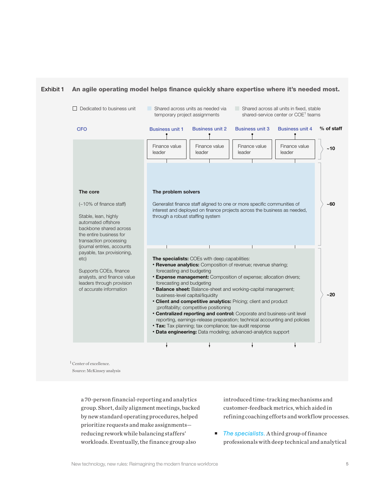



<sup>1</sup> Center of excellence. Source: McKinsey analysis

> a 70-person financial-reporting and analytics group. Short, daily alignment meetings, backed by new standard operating procedures, helped prioritize requests and make assignments reducing rework while balancing staffers' workloads. Eventually, the finance group also

introduced time-tracking mechanisms and customer-feedback metrics, which aided in refining coaching efforts and workflow processes.

■ *The specialists.* A third group of finance professionals with deep technical and analytical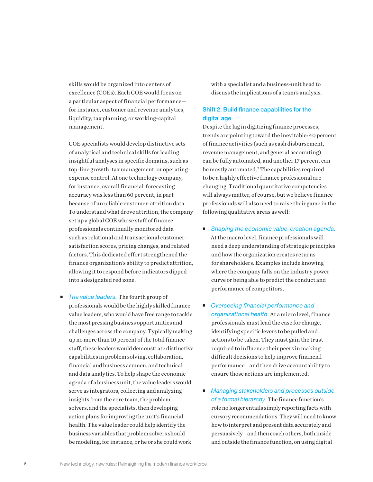skills would be organized into centers of excellence (COEs). Each COE would focus on a particular aspect of financial performance for instance, customer and revenue analytics, liquidity, tax planning, or working-capital management.

COE specialists would develop distinctive sets of analytical and technical skills for leading insightful analyses in specific domains, such as top-line growth, tax management, or operatingexpense control. At one technology company, for instance, overall financial-forecasting accuracy was less than 60 percent, in part because of unreliable customer-attrition data. To understand what drove attrition, the company set up a global COE whose staff of finance professionals continually monitored data such as relational and transactional customersatisfaction scores, pricing changes, and related factors. This dedicated effort strengthened the finance organization's ability to predict attrition, allowing it to respond before indicators dipped into a designated red zone.

■ *The value leaders*. The fourth group of professionals would be the highly skilled finance value leaders, who would have free range to tackle the most pressing business opportunities and challenges across the company. Typically making up no more than 10 percent of the total finance staff, these leaders would demonstrate distinctive capabilities in problem solving, collaboration, financial and business acumen, and technical and data analytics. To help shape the economic agenda of a business unit, the value leaders would serve as integrators, collecting and analyzing insights from the core team, the problem solvers, and the specialists, then developing action plans for improving the unit's financial health. The value leader could help identify the business variables that problem solvers should be modeling, for instance, or he or she could work

with a specialist and a business-unit head to discuss the implications of a team's analysis.

# Shift 2: Build finance capabilities for the digital age

Despite the lag in digitizing finance processes, trends are pointing toward the inevitable: 40 percent of finance activities (such as cash disbursement, revenue management, and general accounting) can be fully automated, and another 17 percent can be mostly automated.<sup>2</sup> The capabilities required to be a highly effective finance professional are changing. Traditional quantitative competencies will always matter, of course, but we believe finance professionals will also need to raise their game in the following qualitative areas as well:

- *Shaping the economic value-creation agenda.* At the macro level, finance professionals will need a deep understanding of strategic principles and how the organization creates returns for shareholders. Examples include knowing where the company falls on the industry power curve or being able to predict the conduct and performance of competitors.
- *Overseeing financial performance and organizational health.* At a micro level, finance professionals must lead the case for change, identifying specific levers to be pulled and actions to be taken. They must gain the trust required to influence their peers in making difficult decisions to help improve financial performance—and then drive accountability to ensure those actions are implemented.
- *Managing stakeholders and processes outside of a formal hierarchy.* The finance function's role no longer entails simply reporting facts with cursory recommendations. They will need to know how to interpret and present data accurately and persuasively—and then coach others, both inside and outside the finance function, on using digital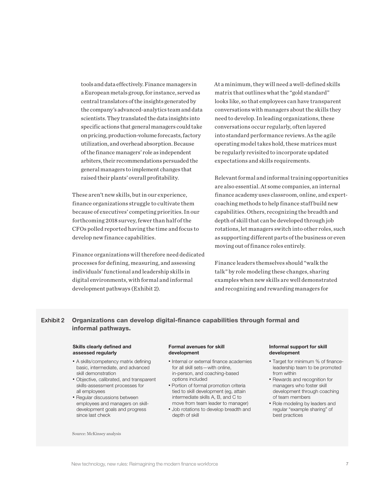tools and data effectively. Finance managers in a European metals group, for instance, served as central translators of the insights generated by the company's advanced-analytics team and data scientists. They translated the data insights into specific actions that general managers could take on pricing, production-volume forecasts, factory utilization, and overhead absorption. Because of the finance managers' role as independent arbiters, their recommendations persuaded the general managers to implement changes that raised their plants' overall profitability.

These aren't new skills, but in our experience, finance organizations struggle to cultivate them because of executives' competing priorities. In our forthcoming 2018 survey, fewer than half of the CFOs polled reported having the time and focus to develop new finance capabilities.

Finance organizations will therefore need dedicated processes for defining, measuring, and assessing Finance leaders themselves show individuals' functional and leadership skills in digital environments, with formal and informal development pathways (Exhibit 2).

At a minimum, they will need a well-defined skills matrix that outlines what the "gold standard" looks like, so that employees can have transparent conversations with managers about the skills they need to develop. In leading organizations, these conversations occur regularly, often layered into standard performance reviews. As the agile operating model takes hold, these matrices must be regularly revisited to incorporate updated expectations and skills requirements.

Relevant formal and informal training opportunities are also essential. At some companies, an internal finance academy uses classroom, online, and expertcoaching methods to help finance staff build new capabilities. Others, recognizing the breadth and depth of skill that can be developed through job rotations, let managers switch into other roles, such as supporting different parts of the business or even moving out of finance roles entirely.

Finance leaders themselves should "walk the talk" by role modeling these changes, sharing examples when new skills are well demonstrated and recognizing and rewarding managers for

# Exhibit 2 Organizations can develop digital-finance capabilities through formal and informal pathways.

## Skills clearly defined and assessed regularly

- A skills/competency matrix defining basic, intermediate, and advanced skill demonstration
- Objective, calibrated, and transparent skills-assessment processes for all employees
- Regular discussions between employees and managers on skilldevelopment goals and progress since last check

Source: McKinsey analysis

#### Formal avenues for skill development

- Internal or external finance academies for all skill sets—with online, in-person, and coaching-based options included
- Portion of formal promotion criteria tied to skill development (eg, attain intermediate skills A, B, and C to move from team leader to manager)
- Job rotations to develop breadth and depth of skill

#### Informal support for skill development

- Target for minimum % of financeleadership team to be promoted from within
- Rewards and recognition for managers who foster skill development through coaching of team members
- Role modeling by leaders and regular "example sharing" of best practices